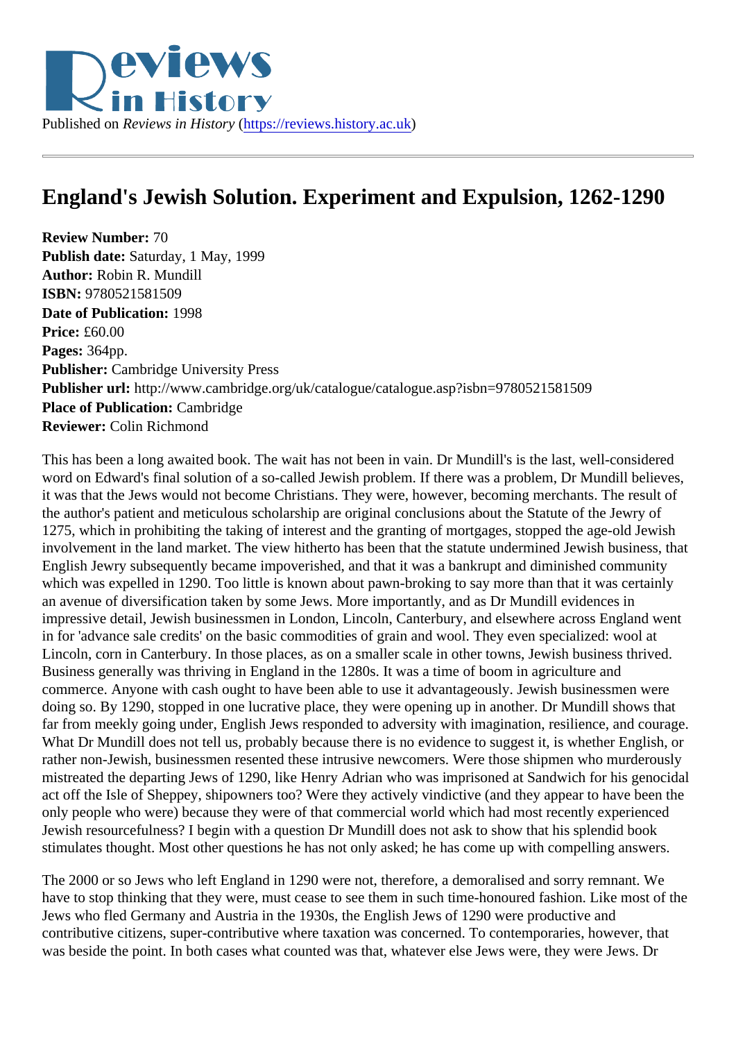## England's Jewish Solution. Experiment and Expulsion, 1262-1290

Review Number: 70 Publish date: Saturday, 1 May, 1999 Author: Robin R. Mundill ISBN: 9780521581509 Date of Publication: 1998 Price: £60.00 Pages: 364pp. Publisher: Cambridge University Press Publisher url: http://www.cambridge.org/uk/catalogue/catalogue.asp?isbn=9780521581509 Place of Publication: Cambridge Reviewer: Colin Richmond

This has been a long awaited book. The wait has not been in vain. Dr Mundill's is the last, well-considered word on Edward's final solution of a so-called Jewish problem. If there was a problem, Dr Mundill believes it was that the Jews would not become Christians. They were, however, becoming merchants. The result of the author's patient and meticulous scholarship are original conclusions about the Statute of the Jewry of 1275, which in prohibiting the taking of interest and the granting of mortgages, stopped the age-old Jewish involvement in the land market. The view hitherto has been that the statute undermined Jewish business, English Jewry subsequently became impoverished, and that it was a bankrupt and diminished community which was expelled in 1290. Too little is known about pawn-broking to say more than that it was certainly an avenue of diversification taken by some Jews. More importantly, and as Dr Mundill evidences in impressive detail, Jewish businessmen in London, Lincoln, Canterbury, and elsewhere across England we in for 'advance sale credits' on the basic commodities of grain and wool. They even specialized: wool at Lincoln, corn in Canterbury. In those places, as on a smaller scale in other towns, Jewish business thrived. Business generally was thriving in England in the 1280s. It was a time of boom in agriculture and commerce. Anyone with cash ought to have been able to use it advantageously. Jewish businessmen wer doing so. By 1290, stopped in one lucrative place, they were opening up in another. Dr Mundill shows that far from meekly going under, English Jews responded to adversity with imagination, resilience, and courage What Dr Mundill does not tell us, probably because there is no evidence to suggest it, is whether English, rather non-Jewish, businessmen resented these intrusive newcomers. Were those shipmen who murderou mistreated the departing Jews of 1290, like Henry Adrian who was imprisoned at Sandwich for his genocid act off the Isle of Sheppey, shipowners too? Were they actively vindictive (and they appear to have been to only people who were) because they were of that commercial world which had most recently experienced Jewish resourcefulness? I begin with a question Dr Mundill does not ask to show that his splendid book stimulates thought. Most other questions he has not only asked; he has come up with compelling answers.

The 2000 or so Jews who left England in 1290 were not, therefore, a demoralised and sorry remnant. We have to stop thinking that they were, must cease to see them in such time-honoured fashion. Like most of Jews who fled Germany and Austria in the 1930s, the English Jews of 1290 were productive and contributive citizens, super-contributive where taxation was concerned. To contemporaries, however, that was beside the point. In both cases what counted was that, whatever else Jews were, they were Jews. Dr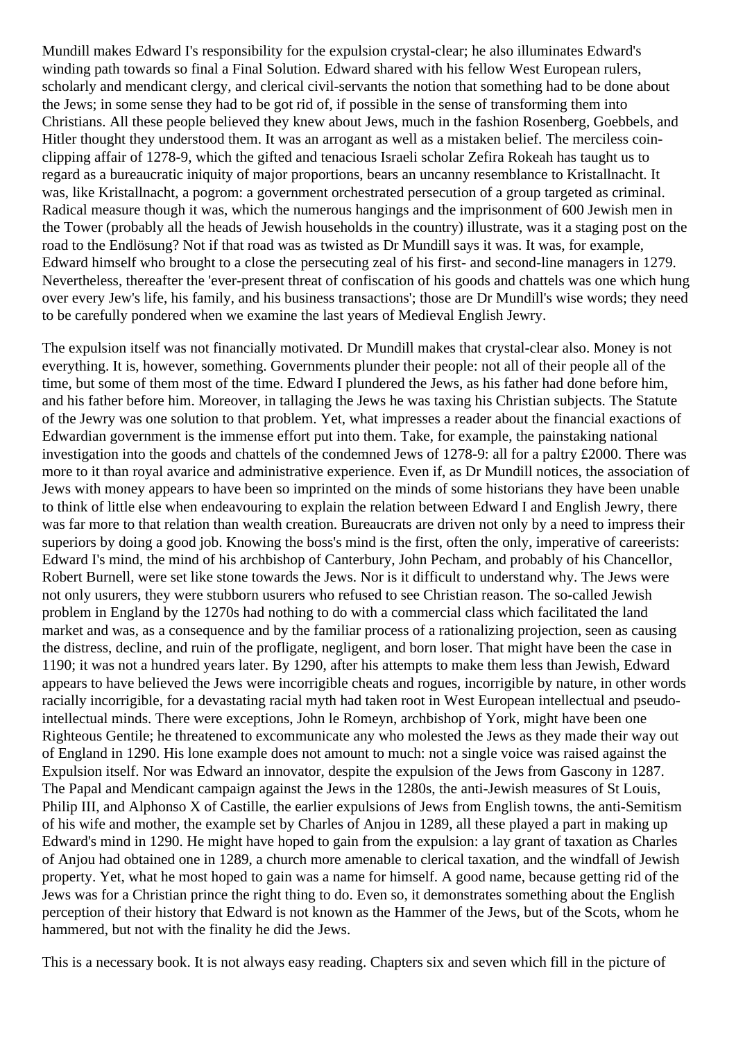Mundill makes Edward I's responsibility for the expulsion crystal-clear; he also illuminates Edward's winding path towards so final a Final Solution. Edward shared with his fellow West European rulers, scholarly and mendicant clergy, and clerical civil-servants the notion that something had to be done about the Jews; in some sense they had to be got rid of, if possible in the sense of transforming them into Christians. All these people believed they knew about Jews, much in the fashion Rosenberg, Goebbels, and Hitler thought they understood them. It was an arrogant as well as a mistaken belief. The merciless coinclipping affair of 1278-9, which the gifted and tenacious Israeli scholar Zefira Rokeah has taught us to regard as a bureaucratic iniquity of major proportions, bears an uncanny resemblance to Kristallnacht. It was, like Kristallnacht, a pogrom: a government orchestrated persecution of a group targeted as criminal. Radical measure though it was, which the numerous hangings and the imprisonment of 600 Jewish men in the Tower (probably all the heads of Jewish households in the country) illustrate, was it a staging post on the road to the Endlösung? Not if that road was as twisted as Dr Mundill says it was. It was, for example, Edward himself who brought to a close the persecuting zeal of his first- and second-line managers in 1279. Nevertheless, thereafter the 'ever-present threat of confiscation of his goods and chattels was one which hung over every Jew's life, his family, and his business transactions'; those are Dr Mundill's wise words; they need to be carefully pondered when we examine the last years of Medieval English Jewry.

The expulsion itself was not financially motivated. Dr Mundill makes that crystal-clear also. Money is not everything. It is, however, something. Governments plunder their people: not all of their people all of the time, but some of them most of the time. Edward I plundered the Jews, as his father had done before him, and his father before him. Moreover, in tallaging the Jews he was taxing his Christian subjects. The Statute of the Jewry was one solution to that problem. Yet, what impresses a reader about the financial exactions of Edwardian government is the immense effort put into them. Take, for example, the painstaking national investigation into the goods and chattels of the condemned Jews of 1278-9: all for a paltry £2000. There was more to it than royal avarice and administrative experience. Even if, as Dr Mundill notices, the association of Jews with money appears to have been so imprinted on the minds of some historians they have been unable to think of little else when endeavouring to explain the relation between Edward I and English Jewry, there was far more to that relation than wealth creation. Bureaucrats are driven not only by a need to impress their superiors by doing a good job. Knowing the boss's mind is the first, often the only, imperative of careerists: Edward I's mind, the mind of his archbishop of Canterbury, John Pecham, and probably of his Chancellor, Robert Burnell, were set like stone towards the Jews. Nor is it difficult to understand why. The Jews were not only usurers, they were stubborn usurers who refused to see Christian reason. The so-called Jewish problem in England by the 1270s had nothing to do with a commercial class which facilitated the land market and was, as a consequence and by the familiar process of a rationalizing projection, seen as causing the distress, decline, and ruin of the profligate, negligent, and born loser. That might have been the case in 1190; it was not a hundred years later. By 1290, after his attempts to make them less than Jewish, Edward appears to have believed the Jews were incorrigible cheats and rogues, incorrigible by nature, in other words racially incorrigible, for a devastating racial myth had taken root in West European intellectual and pseudointellectual minds. There were exceptions, John le Romeyn, archbishop of York, might have been one Righteous Gentile; he threatened to excommunicate any who molested the Jews as they made their way out of England in 1290. His lone example does not amount to much: not a single voice was raised against the Expulsion itself. Nor was Edward an innovator, despite the expulsion of the Jews from Gascony in 1287. The Papal and Mendicant campaign against the Jews in the 1280s, the anti-Jewish measures of St Louis, Philip III, and Alphonso X of Castille, the earlier expulsions of Jews from English towns, the anti-Semitism of his wife and mother, the example set by Charles of Anjou in 1289, all these played a part in making up Edward's mind in 1290. He might have hoped to gain from the expulsion: a lay grant of taxation as Charles of Anjou had obtained one in 1289, a church more amenable to clerical taxation, and the windfall of Jewish property. Yet, what he most hoped to gain was a name for himself. A good name, because getting rid of the Jews was for a Christian prince the right thing to do. Even so, it demonstrates something about the English perception of their history that Edward is not known as the Hammer of the Jews, but of the Scots, whom he hammered, but not with the finality he did the Jews.

This is a necessary book. It is not always easy reading. Chapters six and seven which fill in the picture of